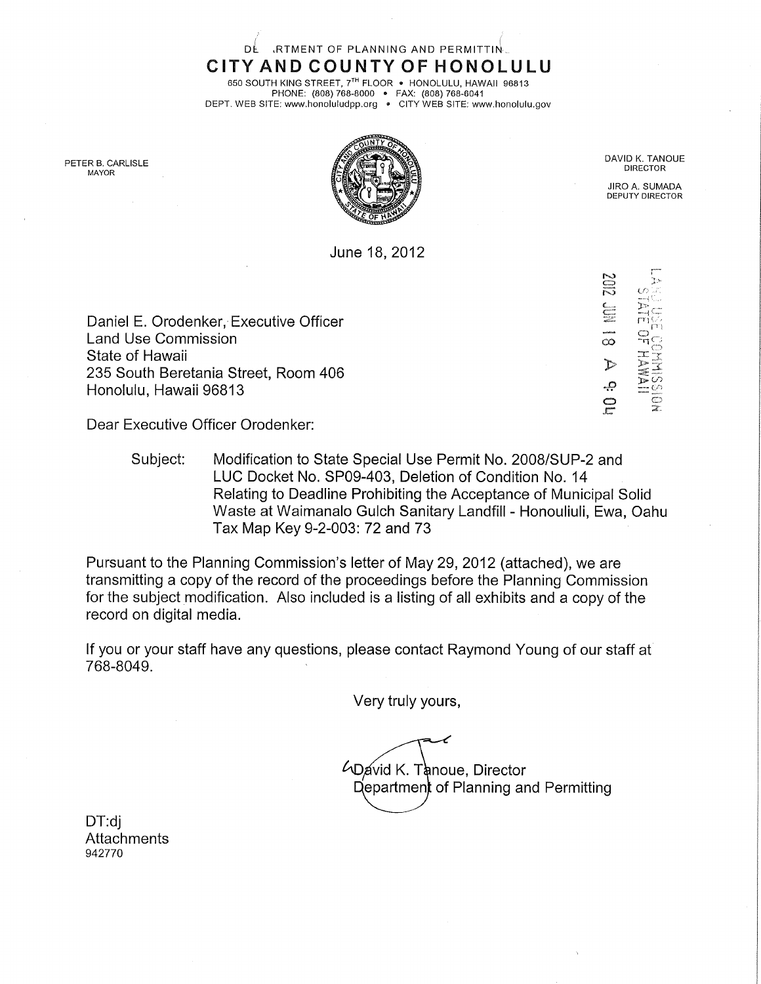ClTYAND COUNTY OF HONOLULU 650 SOUTH KING STREET, 7TH FLOOR . HONOLULU, HAWAII 96813 PHONE: (808) 768-8000 • FAX: (808) 768-6041

DE RTMENT OF PLANNING AND PERMITTIN.

DEPT. WEB SITE: www.honoluludpp,org • CITY WEB SITE: www.honolulu.gov



June 18,2012

**DIRECTOR** 

JIRO A. SUMADA DEPUTY DIRECTOR

 $\overline{f}$ 

 $\circ$ 

 $\vec{p}$  and  $\vec{p}$ 드 *드* 

 $\tilde{\circ}$ 

 $\Gamma$ 

o<br>O<br>O

Daniel E. Orodenker, Executive Officer Land Use Commission State of Hawaii 235 South Beretania Street, Room 406 Honolulu, Hawaii 96813

Dear Executive Officer Orodenker:

Subject: Modification to State Special Use Permit No. 2008/SUP-2 and LUC Docket No. SP09-403, Deletion of Condition No. 14 Relating to Deadline Prohibiting the Acceptance of Municipal Solid Waste at Waimanalo Gulch Sanitary Landfill - Honouliuli, Ewa, Oahu Tax Map Key 9-2-003:72 and 73

Pursuant to the Planning Commission's letter of May 29, 2012 (attached), we are transmitting a copy of the record of the proceedings before the Planning Commission for the subject modification. Also included is a listing of all exhibits and a copy of the record on digital media.

If you or your staff have any questions, please contact Raymond Young of our staff at 768-8049.

Very truly yours,

**4D**avid K. Tanoue, Director Department of Planning and Permitting

DT:dj Attachments 942770

PETER B. CARLISLE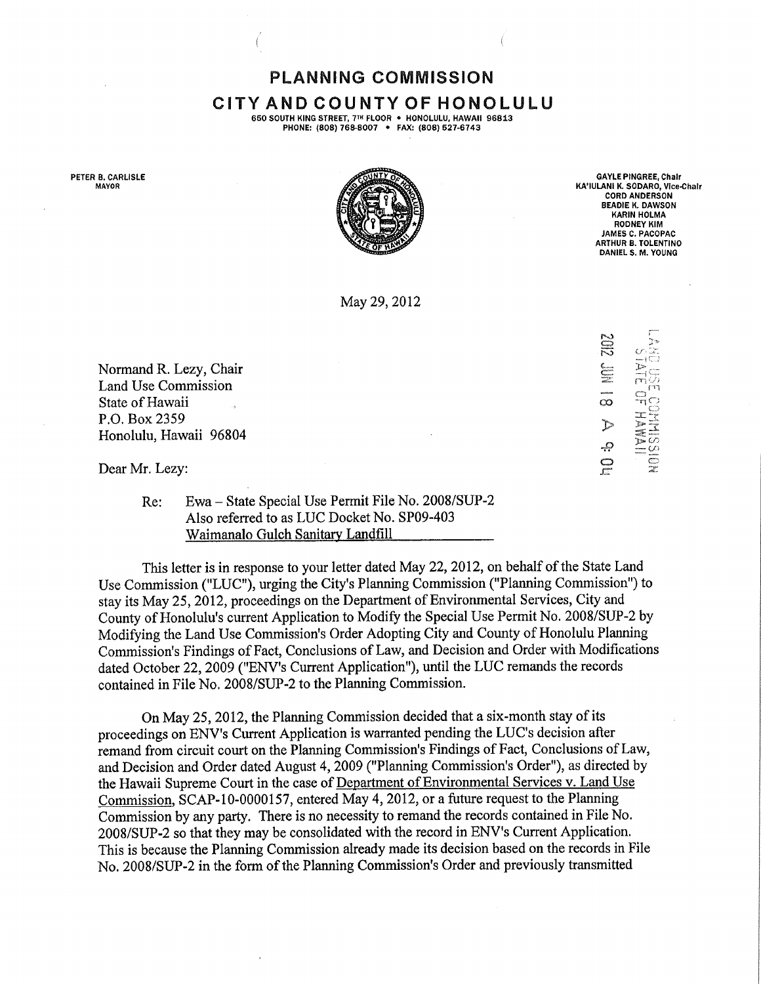PLANNING COMMISSION CiTY AND COUNTY OF HONOLULU

650 SOUTH KING STREET, 7TH FLOOR . HONOLULU, HAWAII 96813 PHONE: (808) 768-8007 • FAX: (808) 527-6743

PETER B. CARLISLE MAYOR



GAYLE PINGREE, Chair KA'IULANI K, SODARO, Vice-Chair CORD ANDERSON **BEADLE K. DAWSON** KARIN HOLMA RODNEY KIM JAMES C. PACOPAC ARTHUR B. TOLENTINO DANIEL S. M. YOUNG

May 29, 2012

Normand R. Lezy, Chair Land Use Commission State of Hawaii P.O. Box 2359 Honolulu, Hawaii 96804

Dear Mr. Lezy:

Re; Ewa - State Special Use Permit File No. 2008/SUP-2 Also referred to as LUC Docket No. SP09-403 Waimanalo Gulch Sanitary Landfill

This letter is in response to your letter dated May 22, 2012, on behalf of the State Land Use Commission ("LUC"), urging the City's Planning Commission ("Planning Commission") to stay its May 25, 2012, proceedings on the Department of Environmental Services, City and County of Honolulu's current Application to Modify the Special Use Permit No. 2008/SUP-2 by Modifying the Land Use Commission's Order Adopting City and County of Honolulu Planning Commission's Findings of Fact, Conclusions of Law, and Decision and Order with Modifications dated October 22, 2009 ("ENV's Current Application"), until the LUC remands the records contained in File No. 2008/SUP-2 to the Planning Commission.

On May 25, 2012, the Planning Commission decided that a six-month stay of its proceedings on ENV's Current Application is warranted pending the LUC's decision after remand from circuit court on the Planning Commission's Findings of Fact, Conclusions of Law, and Decision and Order dated August 4, 2009 ("Planning Commission's Order"), as directed by the Hawaii Supreme Court in the case of Department of Environmental Services v. Land Use Commission, SCAP-10-0000157, entered May 4, 2012, or a future request to the Planning Commission by any party. There is no necessity to remand the records contained in File No. 2008/SUP-2 so that they may be consolidated with the record in ENV's Current Application. This is because the Planning Commission already made its decision based on the records in File No. 2008/SUP-2 in the form of the Planning Commission's Order and previously transmitted

 $\subseteqq$ fÿq  $\infty$  $\bigcirc$ > -9 O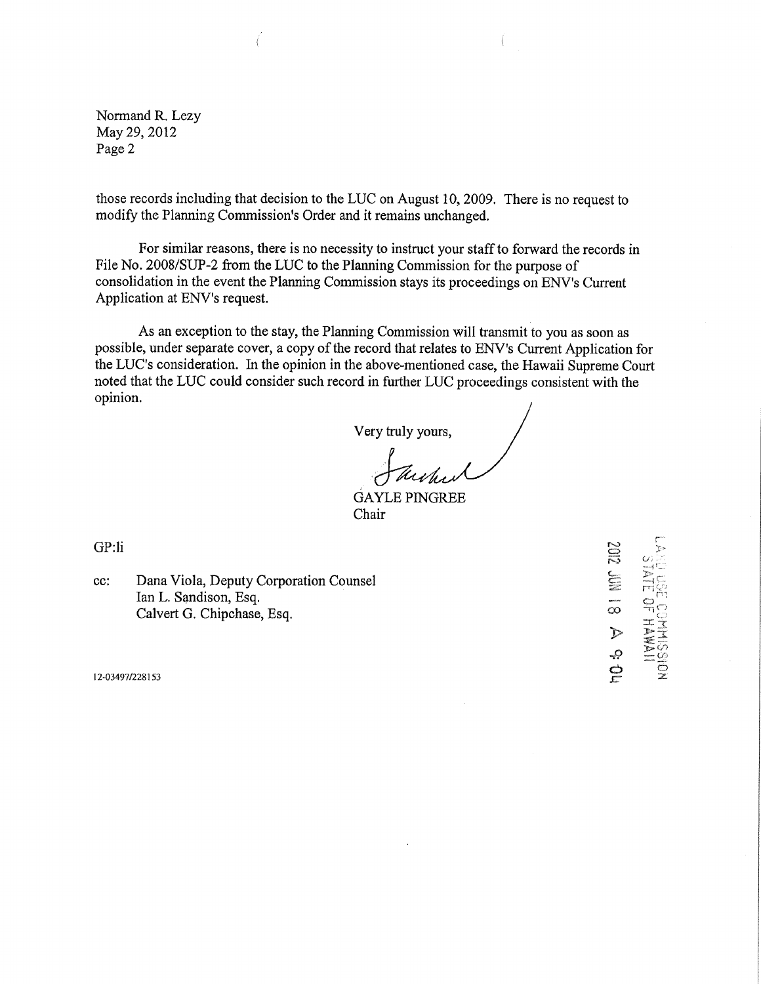Normand R. Lezy May 29, 2012 Page 2

those records including that decision to the LUC on August 10, 2009. There is no request to modify the Planning Commission's Order and it remains unchanged.

For similar reasons, there is no necessity to instruct your staff to forward the records in File No. 2008/SUP-2 from the LUC to the Planning Commission for the purpose of consolidation in the event the Planning Commission stays its proceedings on ENV's Current Application at ENV's request.

As an exception to the stay, the Planning Commission will transmit to you as soon as possible, under separate cover, a copy of the record that relates to ENV's Current Application for the LUC's consideration. In the opinion in the above-mentioned ease, the Hawaii Supreme Court noted that the LUC could consider such record in further LUC proceedings consistent with the opinion.

Very truly yours,

GAYLE PINGREE Chair

GP:li

cc: Dana Viola, Deputy Corporation Counsel Ian L. Sandison, Esq. Calvert G. Chipehase, Esq.

12-03497/228153

r  $\overline{z}$  c.  $\circ$  $\overline{\alpha}$  ച് $\circ$  $\sum_{i=1}^{n}$ **D C**<br>Molley<br>SSIDN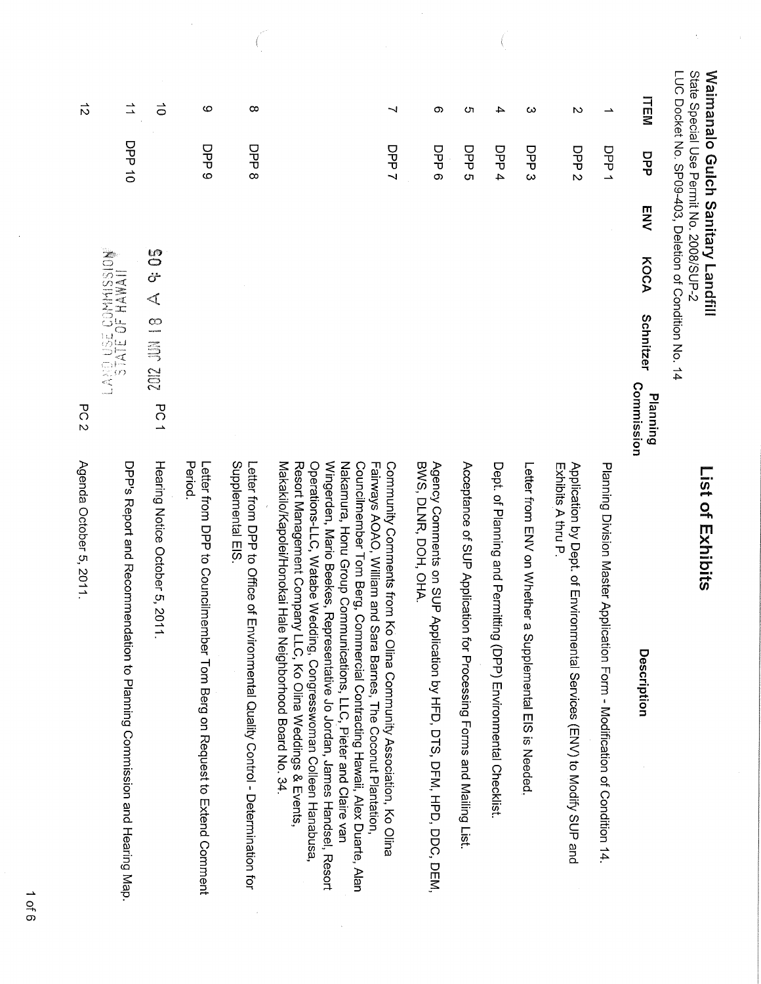| State Special Use Permit No. 2008/SUP-2<br><b>Waimanalo Gulch Sanitary Landfill</b> |                  |     |                                     | LUC Docket No. SP09-403, Deletion of Condition No. 14 |                        | <b>Ist of Exhibits</b>                                                                                                                                                                                                                                                                                                                                         |
|-------------------------------------------------------------------------------------|------------------|-----|-------------------------------------|-------------------------------------------------------|------------------------|----------------------------------------------------------------------------------------------------------------------------------------------------------------------------------------------------------------------------------------------------------------------------------------------------------------------------------------------------------------|
| <b>TEM</b>                                                                          | DPP              | ENV | KOCA                                | Schnitzer                                             | Commission<br>Planning | Description                                                                                                                                                                                                                                                                                                                                                    |
| $\rightarrow$                                                                       | DPP 1            |     |                                     |                                                       |                        | Planning Division Master Application Form - Modification of Condition 14                                                                                                                                                                                                                                                                                       |
| $\sim$                                                                              | DPP <sub>2</sub> |     |                                     |                                                       |                        | Exhibits A thru P.<br>Application by Dept. of Environmental Services (ENV) to Modify SUP and                                                                                                                                                                                                                                                                   |
| ω                                                                                   | DP3              |     |                                     |                                                       |                        | Letter from ENV or Nhether a<br>Suplemental EIS is Needed                                                                                                                                                                                                                                                                                                      |
| 4                                                                                   | DPP 4            |     |                                     |                                                       |                        | Dept. of Planning and Permitting (DPP) Environmental Checklist                                                                                                                                                                                                                                                                                                 |
| ŌТ                                                                                  | DPP <sub>5</sub> |     |                                     |                                                       |                        | Acceptance of SUP Application for Processing Forms and Mailing List                                                                                                                                                                                                                                                                                            |
| တ                                                                                   | DPP <sub>6</sub> |     |                                     |                                                       |                        | BWS, DDH, DDH, OHA.<br>Agency Comments on SUP Application by HFD, DTS, DFM, HPD, DDC, DEM,                                                                                                                                                                                                                                                                     |
| ⇃                                                                                   | DPP <sub>7</sub> |     |                                     |                                                       |                        | Wingerden, Mario Beekes, Representative Jo Jordan, James Handsel, Resort<br>Nakamura, Honu Group Communications, LLC, Pieter and Claire van<br>Fainways AOAO, William and Sara Barnes, The Coconut Plantation,<br>Councilmember Tom Berg, Commercial Contracting Hawaii, Alex Duarte, Alan<br>Community Comments from Ko Olina Community Association, Ko Olina |
|                                                                                     |                  |     |                                     |                                                       |                        | Makakilo/Kapolei/Honokai Hale Neighborhood Board No. 34.<br>Operations-LLC, Watabe Wedding, Congresswoman Colleen Hanabusa<br>Resort Management Company LLC, Ko Olina Weddings & Events,                                                                                                                                                                       |
| $\infty$                                                                            | DPP 8            |     |                                     |                                                       |                        | Supplemental EIS<br>Letter from DPP to Office of Fi<br>nvironmental Quality Control - Determination for                                                                                                                                                                                                                                                        |
| ဖ                                                                                   | DPP <sub>9</sub> |     |                                     |                                                       |                        | Period.<br>Letter from DPP to Councilmember Tom Berg on Request to Extend Comment                                                                                                                                                                                                                                                                              |
| $\vec{o}$                                                                           |                  |     | <b>690</b><br>တိ<br>$\triangleleft$ | 2012 JUN 18                                           | PC1                    | Hearing Notice October 5, 201                                                                                                                                                                                                                                                                                                                                  |
| $\vec{=}$                                                                           | <b>DL dd</b> O   |     |                                     | LAND USE COMMISSION                                   |                        | DPP's Report and Recommen<br>dation to Planning Commission and Hearing Map.                                                                                                                                                                                                                                                                                    |
| $\vec{D}$                                                                           |                  |     |                                     |                                                       | PC<br>$\overline{v}$   | Agenda October 5, 2011.                                                                                                                                                                                                                                                                                                                                        |

 $\frac{1}{2}$ 

 $\left(\right)$ 

 $\pm$ 

 $\frac{1}{2}$ 

 $1$  of 6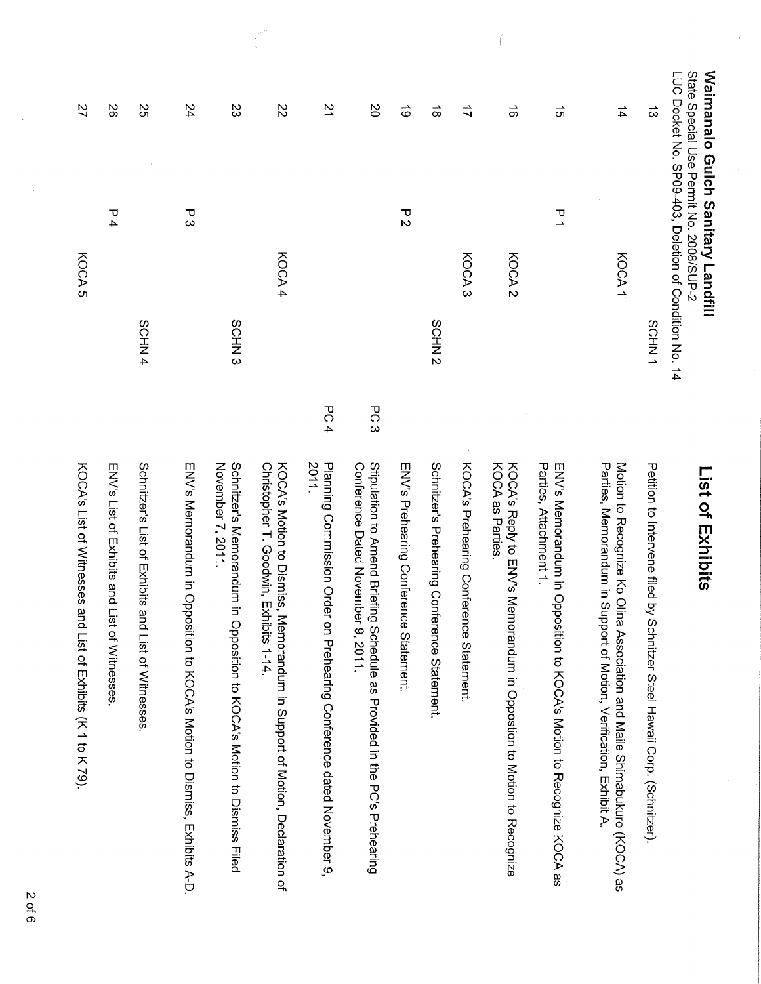| <b>Waimanalo Gulch Sanitary Landfill</b><br>LUC Docket No. SP09-403, Deletion of Condition No. 14<br>State Special Use Permit No. 2008/SUP-2 |                   |                   |     | List of Exhibits                                                                                                                                  |
|----------------------------------------------------------------------------------------------------------------------------------------------|-------------------|-------------------|-----|---------------------------------------------------------------------------------------------------------------------------------------------------|
| $\vec{\omega}$                                                                                                                               |                   | SCHN1             |     | Petition to Intervene filed by Schnitzer Steel Hawaii Corp. (Schnitzer).                                                                          |
| $\frac{1}{4}$                                                                                                                                | KOCA1             |                   |     | Parties, Memorandum in Support of Motion, Verification, Exhibit A.<br>Motion to Recognize Ko Olina<br>Association and Maile Shimabukuro (KOCA) as |
| $\vec{q}$                                                                                                                                    | 고                 |                   |     | Parties, Attachment 1.<br>ENV's Memorandum in Opposition to KOCA's Motion to Recognize KOCA as                                                    |
| $\vec{\sigma}$                                                                                                                               | KOCA <sub>2</sub> |                   |     | KOCA's Reply to ENV's Memorandum in Opposition to Motion to Recognize<br>KOCA as Parties                                                          |
| $\vec{u}$                                                                                                                                    | KOCA <sub>3</sub> |                   |     | KOCA's Prehearing Conference Statement.                                                                                                           |
| $\vec{\infty}$                                                                                                                               |                   | SCHN <sub>2</sub> |     | Schnitzer's Prehearing Conference Statement.                                                                                                      |
| $\vec{\circ}$                                                                                                                                | てい                |                   |     | ENV's Prehearing Conference Statement.                                                                                                            |
| $\infty$                                                                                                                                     |                   |                   | PC3 | Stipulation to Amend Briefing<br>Conference Dated November<br>9,2011.<br>Schedule as Provided in the PC's Prehearing                              |
| 21                                                                                                                                           |                   |                   | PC4 | 2011.<br>Planning Commission Order on Prehearing Conference dated November 9,                                                                     |
| 22                                                                                                                                           | KOCA 4            |                   |     | Christopher T. Goodwin, Exhibits 1-14.<br>KOOA's Mation to Dismiss, Memorandum in Support of Mation, Declaration of                               |
| S                                                                                                                                            |                   | SCHN <sub>3</sub> |     | November 7, 2011.<br>Schnitzer's Memorandum in Opposition to KOCA's Motion to Dismiss Filed                                                       |
| 24                                                                                                                                           | <del>ں</del><br>د |                   |     | ENV's Memorandum in Opposition to KOCA's Motion to Dismiss, Exhibits A-D.                                                                         |
| 25                                                                                                                                           |                   | SCHN4             |     | Schnitzer's List of Exhibits and List of Witnesses                                                                                                |
| 92                                                                                                                                           | Р4                |                   |     | ENV's List of EXPicits and List<br>of Witnesses                                                                                                   |
| 27                                                                                                                                           | KOCA <sub>5</sub> |                   |     | KOCA's List of Witnesses and<br>List of Exhibits (K 1 to K 79).                                                                                   |

ĺ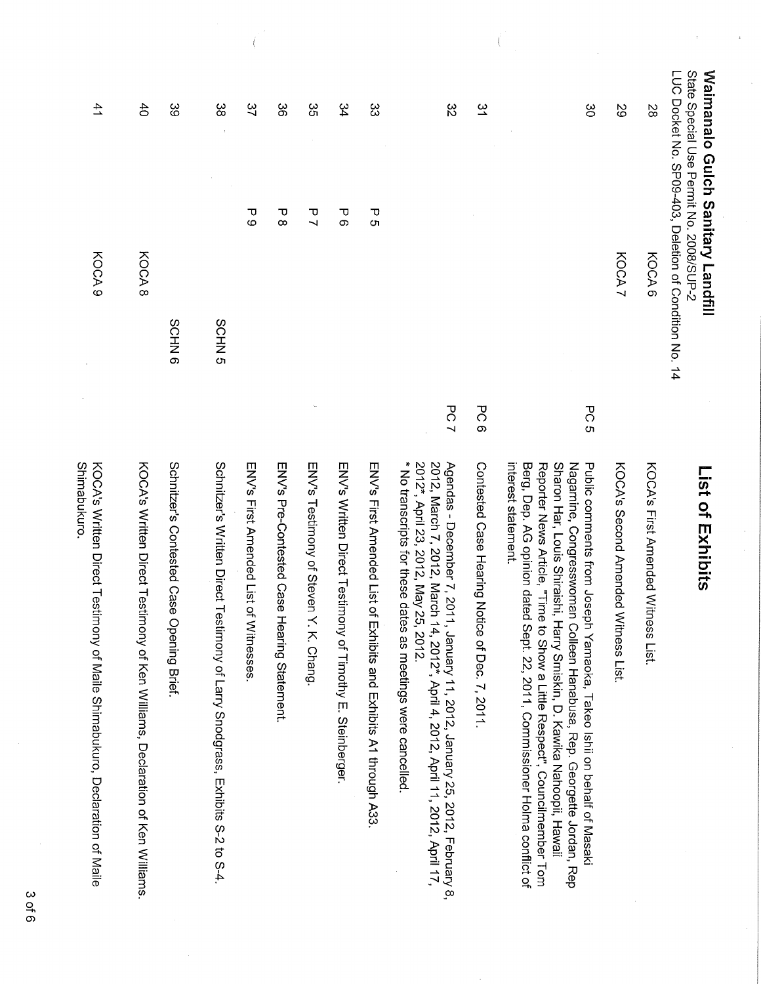| 41<br>KOCA <sub>9</sub>                                                                    | $\ddot{d}$<br>KOCA 8                                                         | ပ္ပ<br>SCHN <sub>6</sub>                  | ထွ<br>SCHN <sub>5</sub>                                                       | 37<br>Ь<br>О                              | ပ္တ<br>უ<br>∞                               | 35<br>$\mathbf{\overline{U}}$<br>$\overline{\phantom{0}}$ | 34<br>$\mathbf{\overline{v}}$<br>တ                        | ပ္ပ<br>$\mathbf{\overline{v}}$<br>Ōп                               | $\approx$                                                                                                                                                                                                                                                                           | $\tilde{z}$                                           | ဗွ                                                                                                                                                                                                                                                                                                                                                                                                                     | 29<br>KOCA 7                        | 8S<br>KOCA6                        | <b>Waimanalo Gulch Sanitary Landfill</b><br>LUC Docket No. SP09-403, Deletion of Condition<br>State Special Use Permit No. 2008/SUP-2 |
|--------------------------------------------------------------------------------------------|------------------------------------------------------------------------------|-------------------------------------------|-------------------------------------------------------------------------------|-------------------------------------------|---------------------------------------------|-----------------------------------------------------------|-----------------------------------------------------------|--------------------------------------------------------------------|-------------------------------------------------------------------------------------------------------------------------------------------------------------------------------------------------------------------------------------------------------------------------------------|-------------------------------------------------------|------------------------------------------------------------------------------------------------------------------------------------------------------------------------------------------------------------------------------------------------------------------------------------------------------------------------------------------------------------------------------------------------------------------------|-------------------------------------|------------------------------------|---------------------------------------------------------------------------------------------------------------------------------------|
| Shimabukuro.<br>KOCA's Written Direct Testimony of Maile Shimabukuro, Declaration of Maile | KOCA's Written Direct Testimony of Ken Williams, Declaration of Ken Williams | Schnitzer's Contested Case Opening Brief. | Schritzer's Written Direct Testimony of Larry Snodgrass, Exhibits S-2 to S-4. | ENV's First Annended List of<br>Witnesses | ENV's Pre-Contested Case Hearing Statement. | ENV's Testimony of Steven Y. K. Chang.                    | ENV's Written Direct Testimony of Timothy E. Steinberger. | ENS First Amended List of<br>Exhibits and Exhibits A1 through A33. | PC7<br>* No transcripts for these dates as meetings were cancelled<br>2012*, April 23, 2012, May 25, 2012.<br>2012, March 7, 2012, March<br>Agendas - December 7, 2011<br>1, January 11, 2012, January 25, 2012, February 8,<br>14, 2012*, April 4, 2012, April 11, 2012, April 17, | PC6<br>Contested Case Hearing Notice of Dec. 7, 2011. | PC 5<br>Sharon Har, Louis Shiraishi, Harry Smiskin, D. Kawika Nahoopii, Hawaii<br>interest statement.<br>Berg, Dep. AG opinion dated<br>Reporter News Article, "Time to Show a Little Respect", Councilmember Tom<br>Nagamine, Congresswoman<br>Public comments from Joseph Yamaoka, Takeo Ishii on behalf of Masaki<br>Sept. 22, 2011, Commissioner Holma conflict of<br>Colleen Hanabusa, Rep. Georgette Jordan, Rep | KOCA's Second Amended Witness List. | KOCA's First Amended Witness List. | List of Exhibits                                                                                                                      |

 $\left($ 

3 of 6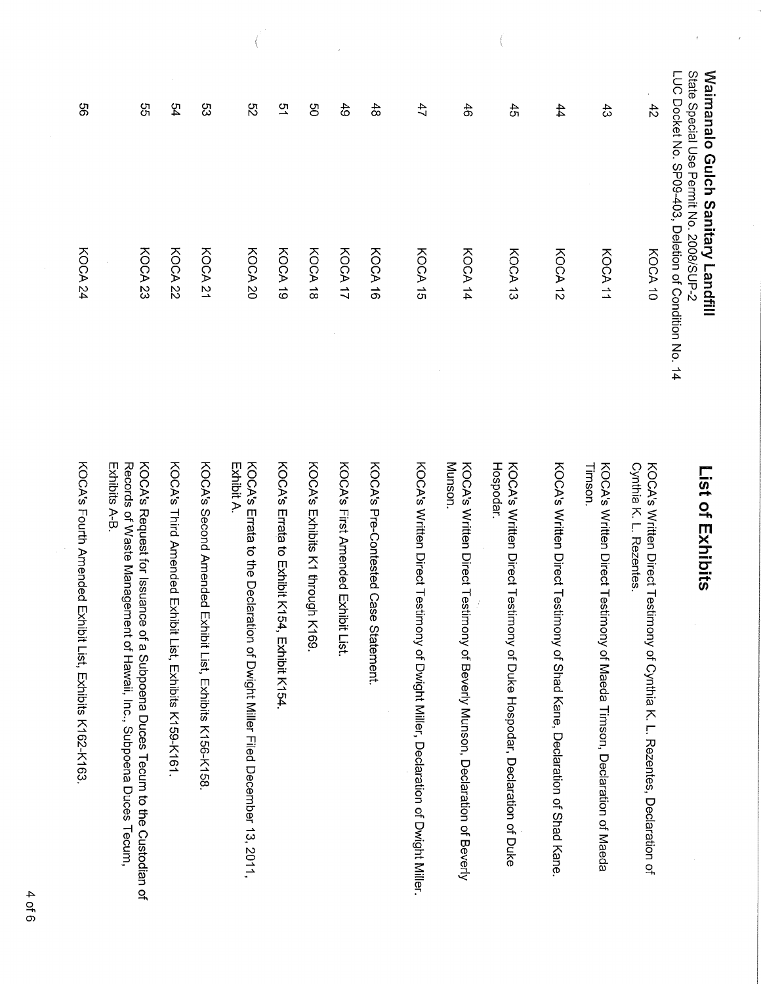| LOC Docket No. 0509-403, Deletion of Condition No. 14 | State Special Cse Permit Zo. 2008/SCP-2 | <b>Waimanalo Gulch Sanitary Landfill</b> |
|-------------------------------------------------------|-----------------------------------------|------------------------------------------|
|-------------------------------------------------------|-----------------------------------------|------------------------------------------|

 $\bar{\mathbf{t}}$ 

 $\hat{\epsilon}$ 

| $\overline{\phantom{a}}$<br>te Special Use Pernit No. 2008/SUP-2<br>imanalo Gulch Sanitary Landfill | Docket No. SP09-403, Deletion of Condition No. 14 | List of Exhibits                                                                                                                                                         |
|-----------------------------------------------------------------------------------------------------|---------------------------------------------------|--------------------------------------------------------------------------------------------------------------------------------------------------------------------------|
| $\ddot{4}$                                                                                          | KOCA 10                                           | Cyntria K . L. Rezentes<br>KOCA's Written Direct Testimony<br>of Cynthia K. L. Rezentes, Declaration of                                                                  |
| යි                                                                                                  | KOCA 11                                           | KOCA's Written Direct Testimony<br>l Imson.<br>of Maeda Timson, Declaration of Maeda                                                                                     |
| 44                                                                                                  | KOCA 12                                           | KOCA's Written Direct Testimony<br>of Shad Kane, Declaration of Shad Kane.                                                                                               |
| 45                                                                                                  | KOCA 13                                           | Hospodar.<br>KOCA's Written Direct Testimony<br>of Duke Hospodar, Declaration of Duke                                                                                    |
| $\frac{4}{5}$                                                                                       | KOCA 14                                           | Munson.<br>KOCA's Written Direct Testimony<br>of Beverly Munson, Declaration of Beverly                                                                                  |
| 47                                                                                                  | KOCA 15                                           | KOCA's Written Direct Testimony<br>of Dwight Miller, Declaration of Dwight Miller.                                                                                       |
| $\frac{48}{6}$                                                                                      | KOCA 16                                           | KOCA's Pre-Contested Case Statement.                                                                                                                                     |
| 6 <sup>1</sup>                                                                                      | KOCA 17                                           | KOCA's First Amended Exhibit List.                                                                                                                                       |
| g                                                                                                   | KOCA 18                                           | KOCA's Exhibits K1 through K169                                                                                                                                          |
| 51                                                                                                  | KOCA 19                                           | KOCA's Errata to Exhibit K194, Exhibit K194                                                                                                                              |
| S2                                                                                                  | KOCA 20                                           | KOCA's Errata to the Declaration of Dwight Miller Filed December 13, 2011,<br>Exhibit A.                                                                                 |
| ပ္ပ                                                                                                 | KOCA <sub>21</sub>                                | KOCA's Second Amended Exhibit<br>List, mxhipits K156-K158.                                                                                                               |
| 54                                                                                                  | KOCA 22                                           | KOOS's Third Amended Exhipit List, FAHipits K139-K161                                                                                                                    |
| ვე<br>თ                                                                                             | KOCA 23                                           | Records of Waste Management of<br>KOCA's Request for Issuance of a<br>Exhibits A-B.<br>f Hawaii, Inc., Subpoena Duces Tecum,<br>Subpoena Duces Tecum to the Custodian of |
| ပ္တာ                                                                                                | KOCA 24                                           | KOCA's Fourth Amended Exhibit List, Exhibits K163-K163                                                                                                                   |

 $\bigg($ 

 $\left(\begin{matrix} 1 & 0 \\ 0 & 1 \end{matrix}\right)$ 

 $\sim 15$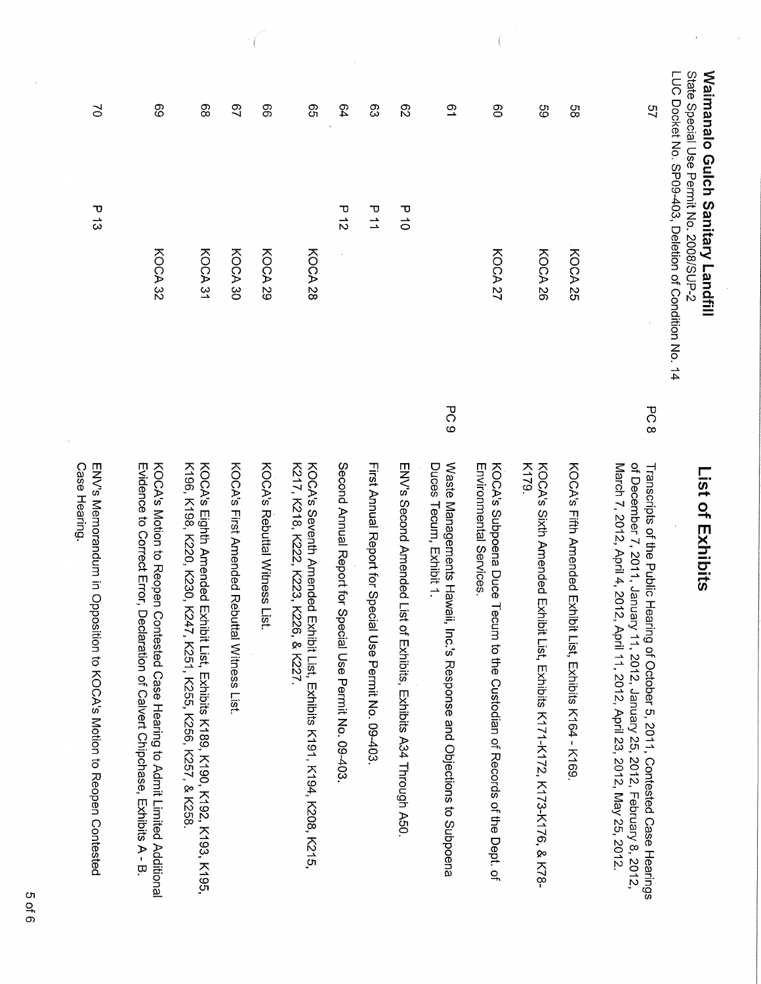|                      | State Special Use Permit No. 2008/SUP-2<br>LUC Docket No. SP09-403, Deletion of Condition<br><b>Waimanalo Gulch Sanitary Landfill</b> |                 | List of Exhibits                                                                                                                                                                                                                    |
|----------------------|---------------------------------------------------------------------------------------------------------------------------------------|-----------------|-------------------------------------------------------------------------------------------------------------------------------------------------------------------------------------------------------------------------------------|
| 51                   |                                                                                                                                       | PC8             | Transcripts of the Public Hearing of October 5, 2011, Contested Case Hearings<br>of December 7, 2011, January 11, 2012, January 25, 2012, February 8, 2012,<br>March 7, 2012, April 4, 2012, April 11, 2012, April 23, 2012, May 25 |
| 89                   | KOCA 25                                                                                                                               |                 | KOCA's Fifth Amended Exhibit List, Exhibits K164 - K169                                                                                                                                                                             |
| 89                   | KOCA 26                                                                                                                               |                 | K179.<br>KOOA's Sixth Amended Exhibit List, Listinits K171-K172, K173-K176, & K78-                                                                                                                                                  |
| 80                   | KOCA 27                                                                                                                               |                 | KOCA's Subpoena Duce<br>Environmental Services.<br>Tecum to the Custodian of Records of the Dept. of                                                                                                                                |
| $\tilde{\mathbf{c}}$ |                                                                                                                                       | PC <sub>9</sub> | Waste Managements Hawaii,<br>Duces Tecum, Exhibit 1.<br>Inc.'s Response and Objections to Subpoena                                                                                                                                  |
| $\mathcal{S}$        | $\begin{array}{c}\n\hline\n\end{array}$                                                                                               |                 | ENVs Second Amended List<br>of Exhibits, Exhibits A34 Through A50                                                                                                                                                                   |
| တ္လ                  | ロム                                                                                                                                    |                 | First Annual Report for Special Use Permit No. 09-403                                                                                                                                                                               |
| 54                   | $\frac{1}{2}$                                                                                                                         |                 | Second Annual Report for Special Use Permit No. 09-403                                                                                                                                                                              |
| <b>့</b>             | KOCA 28                                                                                                                               |                 | K217, K218, K222, K223, K226, & K227.<br>KOCA's Seventh Amended Exhibit List, Exhibits K191, K194, K208, K215,                                                                                                                      |
| 89                   | KOCA 29                                                                                                                               |                 | KOOS's Reputal Mitness List.                                                                                                                                                                                                        |
| 29                   | KOCA 30                                                                                                                               |                 | KOCA's Frist Amended Reputtal Witness List.                                                                                                                                                                                         |
| 89                   | KOCA 31                                                                                                                               |                 | K196, K198, K220, K230, K247, K251, K255, K256, K257, & K258<br>KOOA's Eighth Amended Exhibit K189, K180, K180, K192, K195, K195, K195, K195, K195, K195, K195, K195                                                                |
| 89                   | KOCA 32                                                                                                                               |                 | Evidence to Correct Error, Declaration of Calvert Chipchase, Exhibits A - B<br>KOCA's Motion to Reopen Contested Case Hearing to Admit Limited Additional                                                                           |
| N                    | Р<br>13                                                                                                                               |                 | ENV's Memorandum in Opposition to KOCA's Motion to Reopen Contested<br>Case Hearing.                                                                                                                                                |

 $\big($ 

 $\bar{\bar{z}}$ 

 $\hat{\boldsymbol{\beta}}$ 

 $\label{eq:1} \frac{1}{\sqrt{2}}\int_{0}^{\frac{1}{\sqrt{2}}} \frac{dx}{(x^2+y^2)^2} \,dy\,dy$ 

Ŷ,

 $\bar{\zeta}$